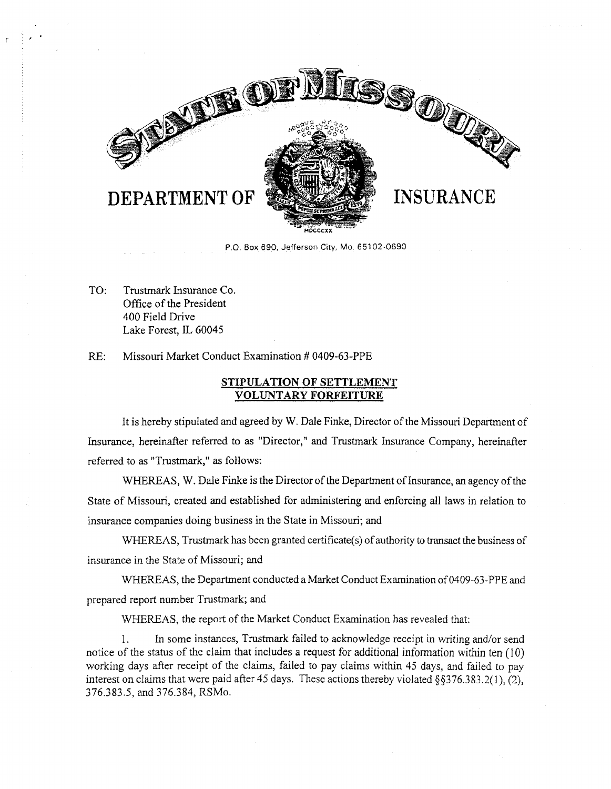

P.O. Box 690, Jefferson City, Mo. 65102-0690

TO: Trustmark Insurance Co. Office of the President 400 Field Drive Lake Forest, IL 60045

RE: Missouri Market Conduct Examination # 0409-63-PPE

## **STIPULATION OF SETTLEMENT VOLUNTARY FORFEITURE**

It is hereby stipulated and agreed by W. Dale Finke, Director of the Missouri Department of Insurance, hereinafter referred to as "Director," and Trustmark Insurance Company, hereinafter referred to as "Trustmark," as follows:

WHEREAS, W. Dale Finke is the Director of the Department of Insurance, an agency of the State of Missouri, created and established for administering and enforcing all laws in relation to insurance companies doing business in the State in Missouri; and

WHEREAS, Trustmark has been granted certificate(s) of authority to transact the business of insurance in the State of Missouri; and

WHEREAS, the Department conducted a Market Conduct Examination of 0409-63-PPE and prepared report number Trustmark; and

WHEREAS, the report of the Market Conduct Examination has revealed that:

I. In some instances, Trustmark failed to acknowledge receipt in writing and/or send notice of the status of the claim that includes a request for additional information within ten (10) working days after receipt of the claims, failed to pay claims within 45 days, and failed to pay interest on claims that were paid after 45 days. These actions thereby violated §§376.383.2(1), (2), 376.383.5, and 376.384, RSMo.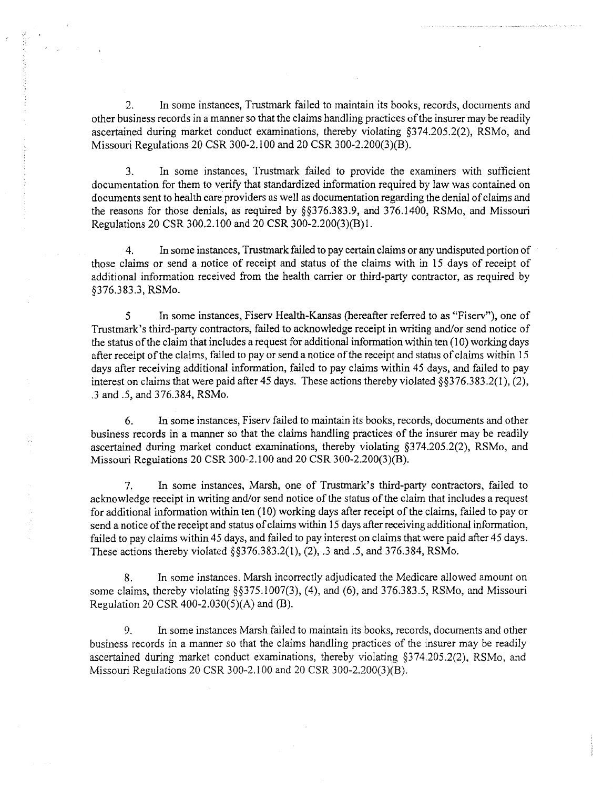2. In some instances, Trustmark failed to maintain its books, records, documents and other business records in a manner so that the claims handling practices of the insurer may be readily ascertained during market conduct examinations, thereby violating §374.205.2(2), RSMo, and Missouri Regulations 20 CSR 300-2. l 00 and 20 CSR 300-2.200(3)(B).

3. In some instances, Trustmark failed to provide the examiners with sufficient documentation for them to verify that standardized information required by Jaw was contained on documents sent to health care providers as well as documentation regarding the denial of claims and the reasons for those denials, as required by §§376.383.9, and 376.1400, RSMo, and Missouri Regulations 20 CSR 300.2.100 and 20 CSR 300-2.200(3)(B)l.

4. In some instances, Trustmark failed to pay certain claims or any undisputed portion of those claims or send a notice of receipt and status of the claims with in 15 days of receipt of additional information received from the health carrier or third-party contractor, as required by §376.383.3, RSMo.

5 In some instances, Fiserv Health-Kansas (hereafter referred to as "Fiserv"), one of Trustmark's third-party contractors, failed to acknowledge receipt in writing and/or send notice of the status of the claim that includes a request for additional information within ten (10) working days after receipt of the claims, failed to pay or send a notice of the receipt and status of claims within 15 days after receiving additional information, failed to pay claims within 45 days, and failed to pay interest on claims that were paid after 45 days. These actions thereby violated §§3 76.383 .2(1 ), (2), .3 and .5, and 376.384, RSMo.

6. In some instances, Fiserv failed to maintain its books, records, documents and other business records in a manner so that the claims handling practices of the insurer may be readily ascertained during market conduct examinations, thereby violating §374.205.2(2), RSMo, and Missouri Regulations 20 CSR 300-2.100 and 20 CSR 300-2.200(3)(B).

7. In some instances, Marsh, one of Trustmark's third-party contractors, failed to acknowledge receipt in writing and/or send notice of the status of the claim that includes a request for additional information within ten (10) working days after receipt of the claims, failed to pay or send a notice of the receipt and status of claims within 15 days after receiving additional information, failed to pay claims within 45 days, and failed to pay interest on claims that were paid after 45 days. These actions thereby violated §§376.383.2(1), (2), .3 and .5, and 376.384, RSMo.

8. In some instances. Marsh incorrectly adjudicated the Medicare allowed amount on some claims, thereby violating §§375.1007(3), (4), and (6), and 376.383.5, RSMo, and Missouri Regulation 20 CSR 400-2.030(5)(A) and (B).

9. In some instances Marsh failed to maintain its books, records, documents and other business records in a manner so that the claims handling practices of the insurer may be readily ascertained during market conduct examinations, thereby violating §374.205.2(2), RSMo, and Missouri Regulations 20 CSR 300-2. I 00 and 20 CSR 300-2.200(3)(B).